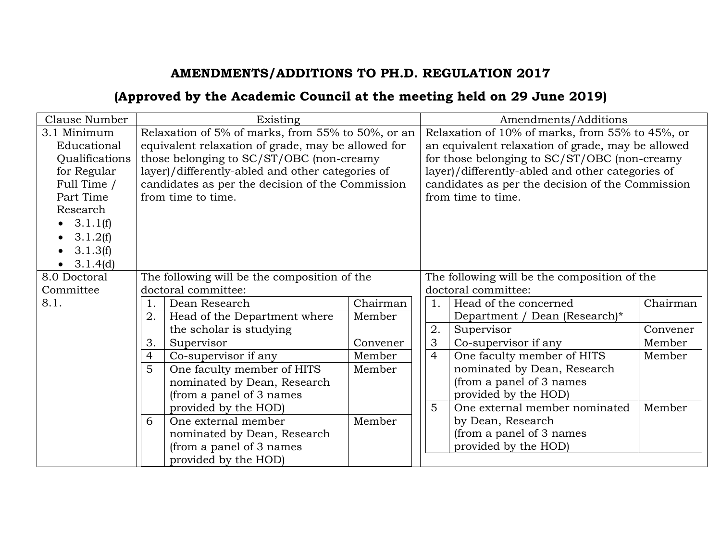## **AMENDMENTS/ADDITIONS TO PH.D. REGULATION 2017**

## **(Approved by the Academic Council at the meeting held on 29 June 2019)**

| Clause Number                                                                                                                                           | Existing                                                                                                                                                                                                                                                                          |                                              |          |                     | Amendments/Additions                                                                                                                                                                                                                                                               |          |  |
|---------------------------------------------------------------------------------------------------------------------------------------------------------|-----------------------------------------------------------------------------------------------------------------------------------------------------------------------------------------------------------------------------------------------------------------------------------|----------------------------------------------|----------|---------------------|------------------------------------------------------------------------------------------------------------------------------------------------------------------------------------------------------------------------------------------------------------------------------------|----------|--|
| 3.1 Minimum<br>Educational<br>Qualifications<br>for Regular<br>Full Time /<br>Part Time<br>Research<br>• $3.1.1(f)$<br>3.1.2(f)<br>3.1.3(f)<br>3.1.4(d) | Relaxation of 5% of marks, from 55% to 50%, or an<br>equivalent relaxation of grade, may be allowed for<br>those belonging to SC/ST/OBC (non-creamy<br>layer)/differently-abled and other categories of<br>candidates as per the decision of the Commission<br>from time to time. |                                              |          |                     | Relaxation of 10% of marks, from 55% to 45%, or<br>an equivalent relaxation of grade, may be allowed<br>for those belonging to SC/ST/OBC (non-creamy<br>layer)/differently-abled and other categories of<br>candidates as per the decision of the Commission<br>from time to time. |          |  |
| 8.0 Doctoral                                                                                                                                            |                                                                                                                                                                                                                                                                                   | The following will be the composition of the |          |                     | The following will be the composition of the                                                                                                                                                                                                                                       |          |  |
| Committee                                                                                                                                               |                                                                                                                                                                                                                                                                                   | doctoral committee:                          |          | doctoral committee: |                                                                                                                                                                                                                                                                                    |          |  |
| 8.1.                                                                                                                                                    | 1.                                                                                                                                                                                                                                                                                | Dean Research                                | Chairman | 1.                  | Head of the concerned                                                                                                                                                                                                                                                              | Chairman |  |
|                                                                                                                                                         | 2.                                                                                                                                                                                                                                                                                | Head of the Department where                 | Member   |                     | Department / Dean (Research)*                                                                                                                                                                                                                                                      |          |  |
|                                                                                                                                                         |                                                                                                                                                                                                                                                                                   | the scholar is studying                      |          | 2.                  | Supervisor                                                                                                                                                                                                                                                                         | Convener |  |
|                                                                                                                                                         | 3.                                                                                                                                                                                                                                                                                | Supervisor                                   | Convener | 3                   | Co-supervisor if any                                                                                                                                                                                                                                                               | Member   |  |
|                                                                                                                                                         | $\overline{4}$                                                                                                                                                                                                                                                                    | Co-supervisor if any                         | Member   | $\overline{4}$      | One faculty member of HITS                                                                                                                                                                                                                                                         | Member   |  |
|                                                                                                                                                         | 5                                                                                                                                                                                                                                                                                 | One faculty member of HITS                   | Member   |                     | nominated by Dean, Research                                                                                                                                                                                                                                                        |          |  |
|                                                                                                                                                         |                                                                                                                                                                                                                                                                                   | nominated by Dean, Research                  |          |                     | (from a panel of 3 names                                                                                                                                                                                                                                                           |          |  |
|                                                                                                                                                         |                                                                                                                                                                                                                                                                                   | (from a panel of 3 names                     |          |                     | provided by the HOD)                                                                                                                                                                                                                                                               |          |  |
|                                                                                                                                                         |                                                                                                                                                                                                                                                                                   | provided by the HOD)                         |          | 5                   | One external member nominated                                                                                                                                                                                                                                                      | Member   |  |
|                                                                                                                                                         | 6                                                                                                                                                                                                                                                                                 | One external member                          | Member   |                     | by Dean, Research                                                                                                                                                                                                                                                                  |          |  |
|                                                                                                                                                         |                                                                                                                                                                                                                                                                                   | nominated by Dean, Research                  |          |                     | (from a panel of 3 names                                                                                                                                                                                                                                                           |          |  |
|                                                                                                                                                         |                                                                                                                                                                                                                                                                                   | (from a panel of 3 names                     |          |                     | provided by the HOD)                                                                                                                                                                                                                                                               |          |  |
|                                                                                                                                                         |                                                                                                                                                                                                                                                                                   | provided by the HOD)                         |          |                     |                                                                                                                                                                                                                                                                                    |          |  |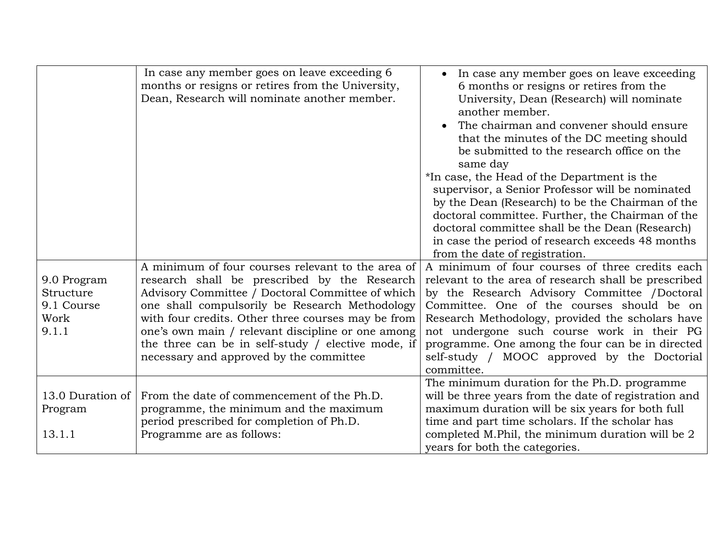| 9.0 Program<br>Structure<br>9.1 Course<br>Work<br>9.1.1 | In case any member goes on leave exceeding 6<br>months or resigns or retires from the University,<br>Dean, Research will nominate another member.<br>A minimum of four courses relevant to the area of<br>research shall be prescribed by the Research<br>Advisory Committee / Doctoral Committee of which<br>one shall compulsorily be Research Methodology<br>with four credits. Other three courses may be from<br>one's own main / relevant discipline or one among<br>the three can be in self-study / elective mode, if<br>necessary and approved by the committee | In case any member goes on leave exceeding<br>$\bullet$<br>6 months or resigns or retires from the<br>University, Dean (Research) will nominate<br>another member.<br>The chairman and convener should ensure<br>that the minutes of the DC meeting should<br>be submitted to the research office on the<br>same day<br>*In case, the Head of the Department is the<br>supervisor, a Senior Professor will be nominated<br>by the Dean (Research) to be the Chairman of the<br>doctoral committee. Further, the Chairman of the<br>doctoral committee shall be the Dean (Research)<br>in case the period of research exceeds 48 months<br>from the date of registration.<br>A minimum of four courses of three credits each<br>relevant to the area of research shall be prescribed<br>by the Research Advisory Committee /Doctoral<br>Committee. One of the courses should be on<br>Research Methodology, provided the scholars have<br>not undergone such course work in their PG<br>programme. One among the four can be in directed<br>self-study / MOOC approved by the Doctorial |
|---------------------------------------------------------|--------------------------------------------------------------------------------------------------------------------------------------------------------------------------------------------------------------------------------------------------------------------------------------------------------------------------------------------------------------------------------------------------------------------------------------------------------------------------------------------------------------------------------------------------------------------------|----------------------------------------------------------------------------------------------------------------------------------------------------------------------------------------------------------------------------------------------------------------------------------------------------------------------------------------------------------------------------------------------------------------------------------------------------------------------------------------------------------------------------------------------------------------------------------------------------------------------------------------------------------------------------------------------------------------------------------------------------------------------------------------------------------------------------------------------------------------------------------------------------------------------------------------------------------------------------------------------------------------------------------------------------------------------------------------|
|                                                         |                                                                                                                                                                                                                                                                                                                                                                                                                                                                                                                                                                          | committee.                                                                                                                                                                                                                                                                                                                                                                                                                                                                                                                                                                                                                                                                                                                                                                                                                                                                                                                                                                                                                                                                             |
| 13.0 Duration of<br>Program<br>13.1.1                   | From the date of commencement of the Ph.D.<br>programme, the minimum and the maximum<br>period prescribed for completion of Ph.D.<br>Programme are as follows:                                                                                                                                                                                                                                                                                                                                                                                                           | The minimum duration for the Ph.D. programme<br>will be three years from the date of registration and<br>maximum duration will be six years for both full<br>time and part time scholars. If the scholar has<br>completed M.Phil, the minimum duration will be $2$                                                                                                                                                                                                                                                                                                                                                                                                                                                                                                                                                                                                                                                                                                                                                                                                                     |
|                                                         |                                                                                                                                                                                                                                                                                                                                                                                                                                                                                                                                                                          | years for both the categories.                                                                                                                                                                                                                                                                                                                                                                                                                                                                                                                                                                                                                                                                                                                                                                                                                                                                                                                                                                                                                                                         |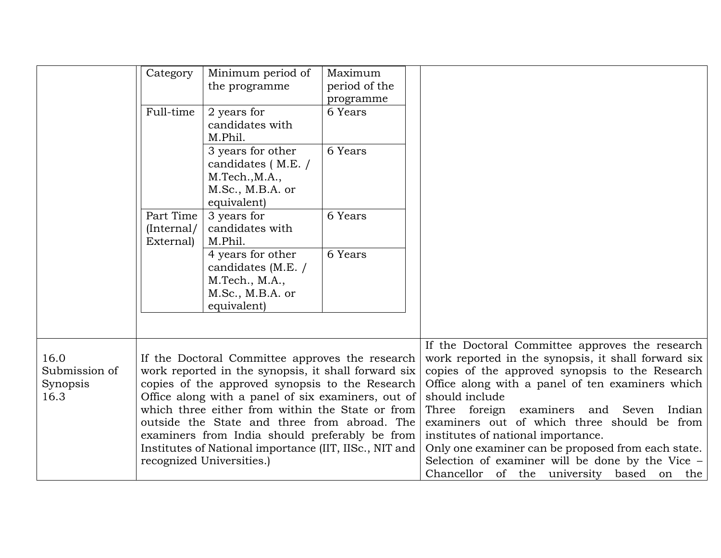|                                   | Category                                                                                                                                                  | Minimum period of<br>the programme                                                                                                                                                                       | Maximum<br>period of the |                                                                                                                                                                                                               |
|-----------------------------------|-----------------------------------------------------------------------------------------------------------------------------------------------------------|----------------------------------------------------------------------------------------------------------------------------------------------------------------------------------------------------------|--------------------------|---------------------------------------------------------------------------------------------------------------------------------------------------------------------------------------------------------------|
|                                   |                                                                                                                                                           |                                                                                                                                                                                                          | programme                |                                                                                                                                                                                                               |
|                                   | Full-time                                                                                                                                                 | 2 years for<br>candidates with<br>M.Phil.                                                                                                                                                                | 6 Years                  |                                                                                                                                                                                                               |
|                                   |                                                                                                                                                           | 3 years for other<br>candidates (M.E. /<br>M.Tech., M.A.,<br>M.Sc., M.B.A. or<br>equivalent)                                                                                                             | 6 Years                  |                                                                                                                                                                                                               |
|                                   | Part Time<br>(Internal/<br>External)                                                                                                                      | 3 years for<br>candidates with<br>M.Phil.                                                                                                                                                                | 6 Years                  |                                                                                                                                                                                                               |
|                                   |                                                                                                                                                           | 4 years for other<br>candidates (M.E. /<br>M.Tech., M.A.,                                                                                                                                                | 6 Years                  |                                                                                                                                                                                                               |
|                                   |                                                                                                                                                           | M.Sc., M.B.A. or<br>equivalent)                                                                                                                                                                          |                          |                                                                                                                                                                                                               |
|                                   |                                                                                                                                                           |                                                                                                                                                                                                          |                          |                                                                                                                                                                                                               |
| 16.0<br>Submission of<br>Synopsis | If the Doctoral Committee approves the research<br>work reported in the synopsis, it shall forward six<br>copies of the approved synopsis to the Research |                                                                                                                                                                                                          |                          | If the Doctoral Committee approves the research<br>work reported in the synopsis, it shall forward six<br>copies of the approved synopsis to the Research<br>Office along with a panel of ten examiners which |
| 16.3                              |                                                                                                                                                           | Office along with a panel of six examiners, out of<br>which three either from within the State or from<br>outside the State and three from abroad. The<br>examiners from India should preferably be from |                          | should include<br>Three foreign examiners and<br>Seven<br>Indian<br>examiners out of which three should be from<br>institutes of national importance.                                                         |
|                                   |                                                                                                                                                           | Institutes of National importance (IIT, IISc., NIT and<br>recognized Universities.)                                                                                                                      |                          | Only one examiner can be proposed from each state.<br>Selection of examiner will be done by the Vice -<br>Chancellor of the university based on the                                                           |